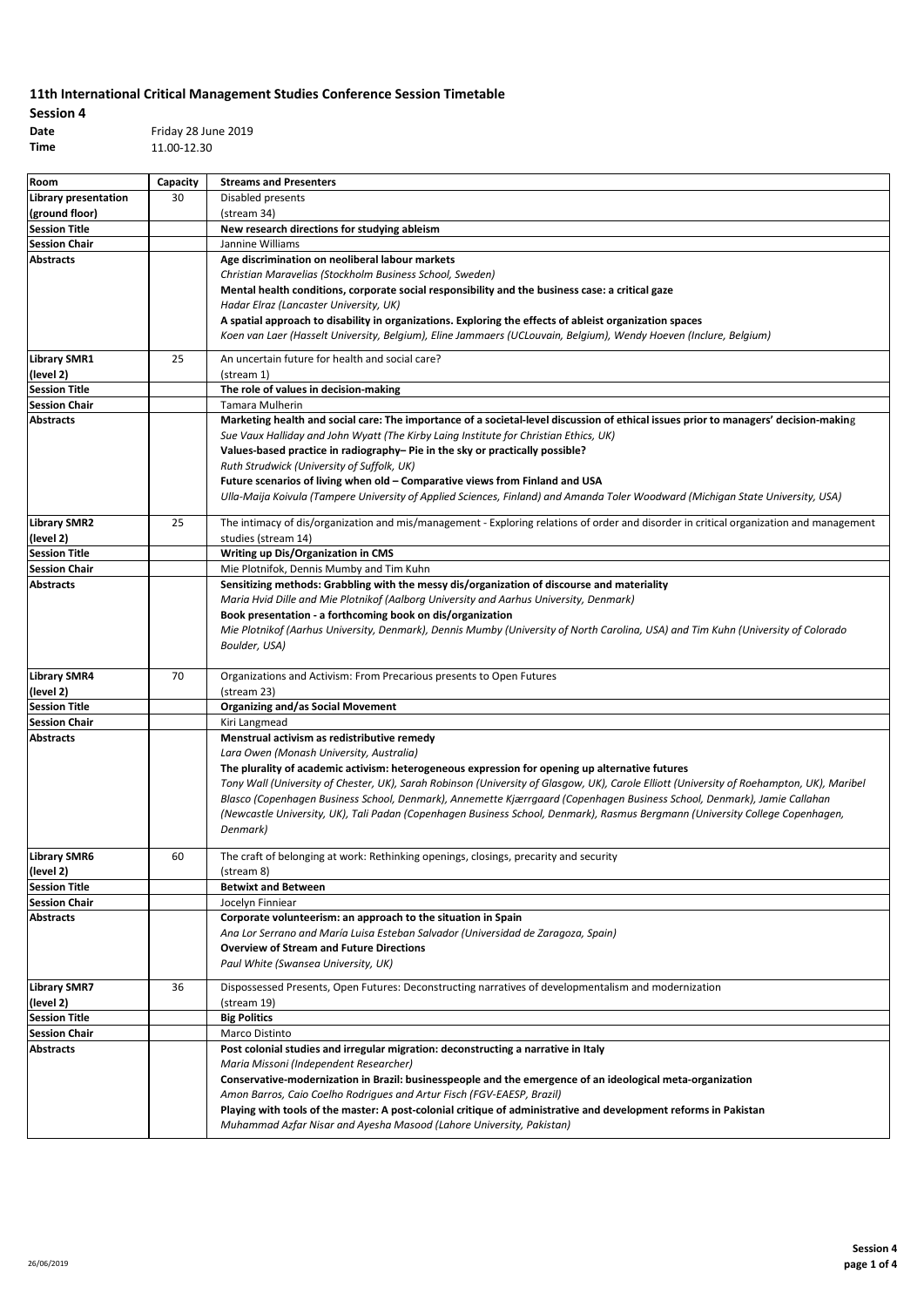# **Session 4 Date** Friday 28 June 2019

**Time** 11.00-12.30

| Room                 | Capacity | <b>Streams and Presenters</b>                                                                                                             |
|----------------------|----------|-------------------------------------------------------------------------------------------------------------------------------------------|
| Library presentation | 30       | Disabled presents                                                                                                                         |
| (ground floor)       |          | (stream 34)                                                                                                                               |
| <b>Session Title</b> |          | New research directions for studying ableism                                                                                              |
| <b>Session Chair</b> |          | Jannine Williams                                                                                                                          |
| <b>Abstracts</b>     |          | Age discrimination on neoliberal labour markets                                                                                           |
|                      |          | Christian Maravelias (Stockholm Business School, Sweden)                                                                                  |
|                      |          | Mental health conditions, corporate social responsibility and the business case: a critical gaze                                          |
|                      |          | Hadar Elraz (Lancaster University, UK)                                                                                                    |
|                      |          | A spatial approach to disability in organizations. Exploring the effects of ableist organization spaces                                   |
|                      |          | Koen van Laer (Hasselt University, Belgium), Eline Jammaers (UCLouvain, Belgium), Wendy Hoeven (Inclure, Belgium)                         |
| <b>Library SMR1</b>  | 25       | An uncertain future for health and social care?                                                                                           |
| (level 2)            |          | (stream 1)                                                                                                                                |
| <b>Session Title</b> |          | The role of values in decision-making                                                                                                     |
| <b>Session Chair</b> |          | Tamara Mulherin                                                                                                                           |
| <b>Abstracts</b>     |          | Marketing health and social care: The importance of a societal-level discussion of ethical issues prior to managers' decision-making      |
|                      |          | Sue Vaux Halliday and John Wyatt (The Kirby Laing Institute for Christian Ethics, UK)                                                     |
|                      |          | Values-based practice in radiography- Pie in the sky or practically possible?                                                             |
|                      |          | Ruth Strudwick (University of Suffolk, UK)                                                                                                |
|                      |          | Future scenarios of living when old - Comparative views from Finland and USA                                                              |
|                      |          | Ulla-Maija Koivula (Tampere University of Applied Sciences, Finland) and Amanda Toler Woodward (Michigan State University, USA)           |
| <b>Library SMR2</b>  | 25       | The intimacy of dis/organization and mis/management - Exploring relations of order and disorder in critical organization and management   |
| (level 2)            |          | studies (stream 14)                                                                                                                       |
| <b>Session Title</b> |          | Writing up Dis/Organization in CMS                                                                                                        |
| <b>Session Chair</b> |          | Mie Plotnifok, Dennis Mumby and Tim Kuhn                                                                                                  |
| <b>Abstracts</b>     |          | Sensitizing methods: Grabbling with the messy dis/organization of discourse and materiality                                               |
|                      |          | Maria Hvid Dille and Mie Plotnikof (Aalborg University and Aarhus University, Denmark)                                                    |
|                      |          | Book presentation - a forthcoming book on dis/organization                                                                                |
|                      |          | Mie Plotnikof (Aarhus University, Denmark), Dennis Mumby (University of North Carolina, USA) and Tim Kuhn (University of Colorado         |
|                      |          | Boulder, USA)                                                                                                                             |
|                      |          |                                                                                                                                           |
| <b>Library SMR4</b>  | 70       | Organizations and Activism: From Precarious presents to Open Futures                                                                      |
| (level 2)            |          | (stream 23)                                                                                                                               |
| <b>Session Title</b> |          | <b>Organizing and/as Social Movement</b>                                                                                                  |
| <b>Session Chair</b> |          | Kiri Langmead                                                                                                                             |
| <b>Abstracts</b>     |          | Menstrual activism as redistributive remedy                                                                                               |
|                      |          | Lara Owen (Monash University, Australia)                                                                                                  |
|                      |          | The plurality of academic activism: heterogeneous expression for opening up alternative futures                                           |
|                      |          | Tony Wall (University of Chester, UK), Sarah Robinson (University of Glasgow, UK), Carole Elliott (University of Roehampton, UK), Maribel |
|                      |          | Blasco (Copenhagen Business School, Denmark), Annemette Kjærrgaard (Copenhagen Business School, Denmark), Jamie Callahan                  |
|                      |          | (Newcastle University, UK), Tali Padan (Copenhagen Business School, Denmark), Rasmus Bergmann (University College Copenhagen,             |
|                      |          | Denmark)                                                                                                                                  |
| <b>Library SMR6</b>  | 60       | The craft of belonging at work: Rethinking openings, closings, precarity and security                                                     |
| (level 2)            |          | (stream 8)                                                                                                                                |
| <b>Session Title</b> |          | <b>Betwixt and Between</b>                                                                                                                |
| <b>Session Chair</b> |          | Jocelyn Finniear                                                                                                                          |
| <b>Abstracts</b>     |          | Corporate volunteerism: an approach to the situation in Spain                                                                             |
|                      |          | Ana Lor Serrano and María Luisa Esteban Salvador (Universidad de Zaragoza, Spain)                                                         |
|                      |          | <b>Overview of Stream and Future Directions</b>                                                                                           |
|                      |          | Paul White (Swansea University, UK)                                                                                                       |
| <b>Library SMR7</b>  | 36       | Dispossessed Presents, Open Futures: Deconstructing narratives of developmentalism and modernization                                      |
| (level 2)            |          | (stream 19)                                                                                                                               |
| <b>Session Title</b> |          | <b>Big Politics</b>                                                                                                                       |
| <b>Session Chair</b> |          | Marco Distinto                                                                                                                            |
| <b>Abstracts</b>     |          | Post colonial studies and irregular migration: deconstructing a narrative in Italy                                                        |
|                      |          | Maria Missoni (Independent Researcher)                                                                                                    |
|                      |          | Conservative-modernization in Brazil: businesspeople and the emergence of an ideological meta-organization                                |
|                      |          | Amon Barros, Caio Coelho Rodrigues and Artur Fisch (FGV-EAESP, Brazil)                                                                    |
|                      |          | Playing with tools of the master: A post-colonial critique of administrative and development reforms in Pakistan                          |
|                      |          | Muhammad Azfar Nisar and Ayesha Masood (Lahore University, Pakistan)                                                                      |
|                      |          |                                                                                                                                           |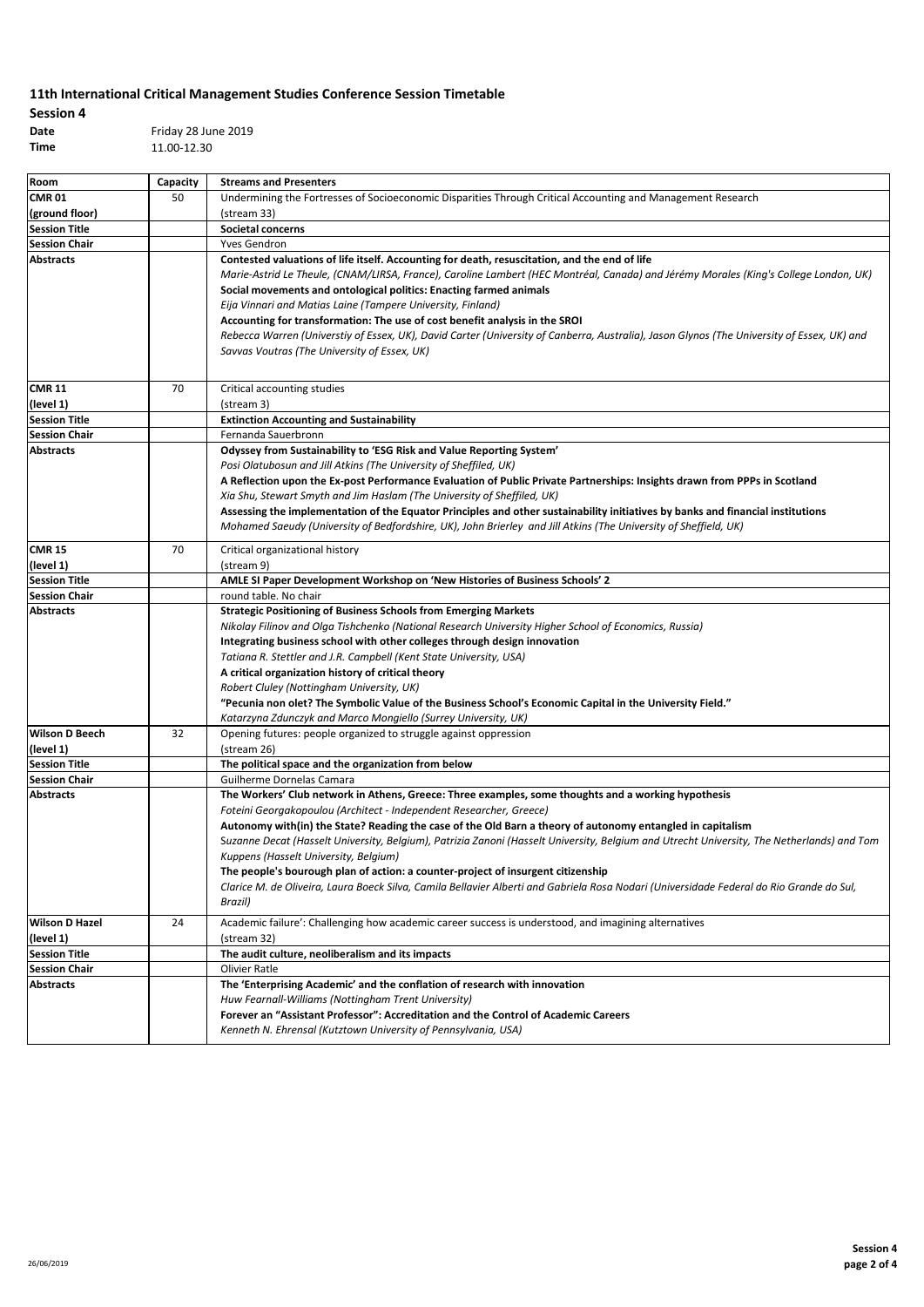| <b>Session 4</b> |                     |
|------------------|---------------------|
| Date             | Friday 28 June 2019 |
| Time.            | 11.00.12.00         |

**Time** 11.00-12.30

| Room                                     | Capacity | <b>Streams and Presenters</b>                                                                                                                       |
|------------------------------------------|----------|-----------------------------------------------------------------------------------------------------------------------------------------------------|
| <b>CMR 01</b>                            | 50       | Undermining the Fortresses of Socioeconomic Disparities Through Critical Accounting and Management Research                                         |
| (ground floor)                           |          | (stream 33)                                                                                                                                         |
| <b>Session Title</b>                     |          | <b>Societal concerns</b>                                                                                                                            |
| <b>Session Chair</b>                     |          | Yves Gendron                                                                                                                                        |
| <b>Abstracts</b>                         |          | Contested valuations of life itself. Accounting for death, resuscitation, and the end of life                                                       |
|                                          |          | Marie-Astrid Le Theule, (CNAM/LIRSA, France), Caroline Lambert (HEC Montréal, Canada) and Jérémy Morales (King's College London, UK)                |
|                                          |          | Social movements and ontological politics: Enacting farmed animals                                                                                  |
|                                          |          | Eija Vinnari and Matias Laine (Tampere University, Finland)                                                                                         |
|                                          |          | Accounting for transformation: The use of cost benefit analysis in the SROI                                                                         |
|                                          |          | Rebecca Warren (Universtiy of Essex, UK), David Carter (University of Canberra, Australia), Jason Glynos (The University of Essex, UK) and          |
|                                          |          | Savvas Voutras (The University of Essex, UK)                                                                                                        |
|                                          |          |                                                                                                                                                     |
| <b>CMR 11</b>                            | 70       | Critical accounting studies                                                                                                                         |
| (level 1)                                |          | (stream 3)                                                                                                                                          |
| <b>Session Title</b>                     |          | <b>Extinction Accounting and Sustainability</b>                                                                                                     |
| <b>Session Chair</b>                     |          | Fernanda Sauerbronn                                                                                                                                 |
| <b>Abstracts</b>                         |          | Odyssey from Sustainability to 'ESG Risk and Value Reporting System'                                                                                |
|                                          |          | Posi Olatubosun and Jill Atkins (The University of Sheffiled, UK)                                                                                   |
|                                          |          | A Reflection upon the Ex-post Performance Evaluation of Public Private Partnerships: Insights drawn from PPPs in Scotland                           |
|                                          |          | Xia Shu, Stewart Smyth and Jim Haslam (The University of Sheffiled, UK)                                                                             |
|                                          |          | Assessing the implementation of the Equator Principles and other sustainability initiatives by banks and financial institutions                     |
|                                          |          | Mohamed Saeudy (University of Bedfordshire, UK), John Brierley and Jill Atkins (The University of Sheffield, UK)                                    |
|                                          |          |                                                                                                                                                     |
| <b>CMR 15</b>                            | 70       | Critical organizational history                                                                                                                     |
| (level 1)                                |          | (stream 9)                                                                                                                                          |
| <b>Session Title</b>                     |          | AMLE SI Paper Development Workshop on 'New Histories of Business Schools' 2                                                                         |
| <b>Session Chair</b>                     |          | round table. No chair                                                                                                                               |
| <b>Abstracts</b>                         |          | <b>Strategic Positioning of Business Schools from Emerging Markets</b>                                                                              |
|                                          |          | Nikolay Filinov and Olga Tishchenko (National Research University Higher School of Economics, Russia)                                               |
|                                          |          | Integrating business school with other colleges through design innovation                                                                           |
|                                          |          | Tatiana R. Stettler and J.R. Campbell (Kent State University, USA)                                                                                  |
|                                          |          | A critical organization history of critical theory                                                                                                  |
|                                          |          | Robert Cluley (Nottingham University, UK)                                                                                                           |
|                                          |          | "Pecunia non olet? The Symbolic Value of the Business School's Economic Capital in the University Field."                                           |
|                                          |          | Katarzyna Zdunczyk and Marco Mongiello (Surrey University, UK)                                                                                      |
| <b>Wilson D Beech</b>                    | 32       | Opening futures: people organized to struggle against oppression                                                                                    |
| (level 1)                                |          | (stream 26)                                                                                                                                         |
| <b>Session Title</b>                     |          | The political space and the organization from below                                                                                                 |
| <b>Session Chair</b><br><b>Abstracts</b> |          | Guilherme Dornelas Camara                                                                                                                           |
|                                          |          | The Workers' Club network in Athens, Greece: Three examples, some thoughts and a working hypothesis                                                 |
|                                          |          | Foteini Georgakopoulou (Architect - Independent Researcher, Greece)                                                                                 |
|                                          |          | Autonomy with(in) the State? Reading the case of the Old Barn a theory of autonomy entangled in capitalism                                          |
|                                          |          | Suzanne Decat (Hasselt University, Belgium), Patrizia Zanoni (Hasselt University, Belgium and Utrecht University, The Netherlands) and Tom          |
|                                          |          | Kuppens (Hasselt University, Belgium)                                                                                                               |
|                                          |          | The people's bourough plan of action: a counter-project of insurgent citizenship                                                                    |
|                                          |          | Clarice M. de Oliveira, Laura Boeck Silva, Camila Bellavier Alberti and Gabriela Rosa Nodari (Universidade Federal do Rio Grande do Sul,<br>Brazil) |
|                                          |          |                                                                                                                                                     |
| <b>Wilson D Hazel</b>                    | 24       | Academic failure': Challenging how academic career success is understood, and imagining alternatives                                                |
| (level 1)                                |          | (stream 32)                                                                                                                                         |
| <b>Session Title</b>                     |          | The audit culture, neoliberalism and its impacts                                                                                                    |
| <b>Session Chair</b>                     |          | Olivier Ratle                                                                                                                                       |
| <b>Abstracts</b>                         |          | The 'Enterprising Academic' and the conflation of research with innovation                                                                          |
|                                          |          | Huw Fearnall-Williams (Nottingham Trent University)                                                                                                 |
|                                          |          | Forever an "Assistant Professor": Accreditation and the Control of Academic Careers                                                                 |
|                                          |          | Kenneth N. Ehrensal (Kutztown University of Pennsylvania, USA)                                                                                      |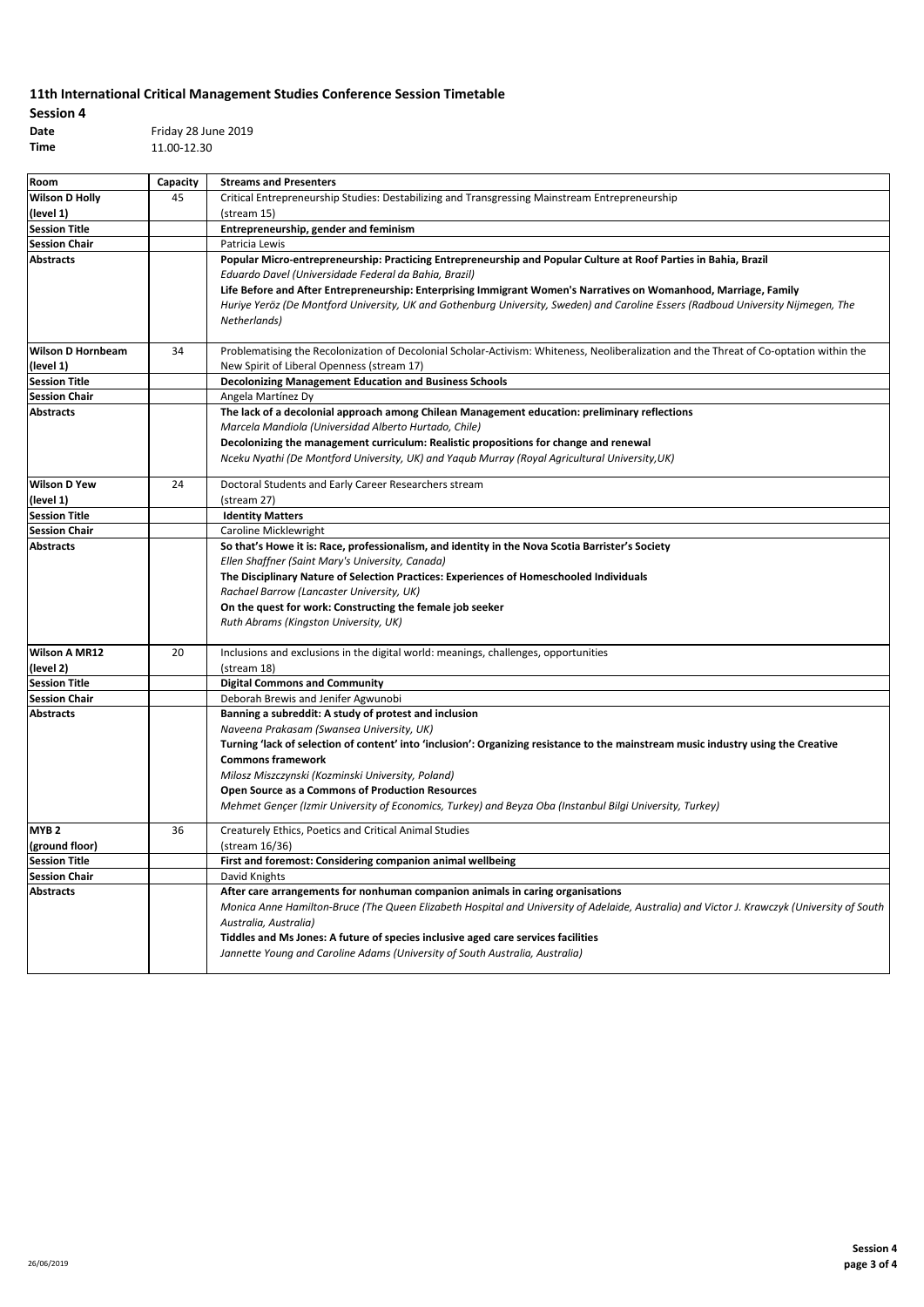| <b>Session 4</b> |                     |
|------------------|---------------------|
| Date             | Friday 28 June 2019 |
| Time             | 11.00-12.30         |

| Room                     | Capacity | <b>Streams and Presenters</b>                                                                                                               |
|--------------------------|----------|---------------------------------------------------------------------------------------------------------------------------------------------|
| <b>Wilson D Holly</b>    | 45       | Critical Entrepreneurship Studies: Destabilizing and Transgressing Mainstream Entrepreneurship                                              |
| (level 1)                |          | (stream 15)                                                                                                                                 |
| <b>Session Title</b>     |          | Entrepreneurship, gender and feminism                                                                                                       |
| <b>Session Chair</b>     |          | Patricia Lewis                                                                                                                              |
| <b>Abstracts</b>         |          | Popular Micro-entrepreneurship: Practicing Entrepreneurship and Popular Culture at Roof Parties in Bahia, Brazil                            |
|                          |          | Eduardo Davel (Universidade Federal da Bahia, Brazil)                                                                                       |
|                          |          | Life Before and After Entrepreneurship: Enterprising Immigrant Women's Narratives on Womanhood, Marriage, Family                            |
|                          |          | Huriye Yeröz (De Montford University, UK and Gothenburg University, Sweden) and Caroline Essers (Radboud University Nijmegen, The           |
|                          |          | Netherlands)                                                                                                                                |
|                          |          |                                                                                                                                             |
| <b>Wilson D Hornbeam</b> | 34       | Problematising the Recolonization of Decolonial Scholar-Activism: Whiteness, Neoliberalization and the Threat of Co-optation within the     |
| (level 1)                |          | New Spirit of Liberal Openness (stream 17)                                                                                                  |
| <b>Session Title</b>     |          | <b>Decolonizing Management Education and Business Schools</b>                                                                               |
| <b>Session Chair</b>     |          | Angela Martínez Dy                                                                                                                          |
| <b>Abstracts</b>         |          | The lack of a decolonial approach among Chilean Management education: preliminary reflections                                               |
|                          |          | Marcela Mandiola (Universidad Alberto Hurtado, Chile)                                                                                       |
|                          |          | Decolonizing the management curriculum: Realistic propositions for change and renewal                                                       |
|                          |          | Nceku Nyathi (De Montford University, UK) and Yaqub Murray (Royal Agricultural University, UK)                                              |
| <b>Wilson D Yew</b>      | 24       | Doctoral Students and Early Career Researchers stream                                                                                       |
| (level 1)                |          | (stream 27)                                                                                                                                 |
| <b>Session Title</b>     |          | <b>Identity Matters</b>                                                                                                                     |
| <b>Session Chair</b>     |          | Caroline Micklewright                                                                                                                       |
| <b>Abstracts</b>         |          | So that's Howe it is: Race, professionalism, and identity in the Nova Scotia Barrister's Society                                            |
|                          |          | Ellen Shaffner (Saint Mary's University, Canada)                                                                                            |
|                          |          | The Disciplinary Nature of Selection Practices: Experiences of Homeschooled Individuals                                                     |
|                          |          | Rachael Barrow (Lancaster University, UK)                                                                                                   |
|                          |          | On the quest for work: Constructing the female job seeker                                                                                   |
|                          |          | Ruth Abrams (Kingston University, UK)                                                                                                       |
|                          |          |                                                                                                                                             |
| <b>Wilson A MR12</b>     | 20       | Inclusions and exclusions in the digital world: meanings, challenges, opportunities                                                         |
| (level 2)                |          | (stream 18)                                                                                                                                 |
| <b>Session Title</b>     |          | <b>Digital Commons and Community</b>                                                                                                        |
| <b>Session Chair</b>     |          | Deborah Brewis and Jenifer Agwunobi                                                                                                         |
| <b>Abstracts</b>         |          | Banning a subreddit: A study of protest and inclusion                                                                                       |
|                          |          | Naveena Prakasam (Swansea University, UK)                                                                                                   |
|                          |          | Turning 'lack of selection of content' into 'inclusion': Organizing resistance to the mainstream music industry using the Creative          |
|                          |          | <b>Commons framework</b>                                                                                                                    |
|                          |          | Milosz Miszczynski (Kozminski University, Poland)                                                                                           |
|                          |          | <b>Open Source as a Commons of Production Resources</b>                                                                                     |
|                          |          | Mehmet Gençer (Izmir University of Economics, Turkey) and Beyza Oba (Instanbul Bilgi University, Turkey)                                    |
| MYB <sub>2</sub>         | 36       | Creaturely Ethics, Poetics and Critical Animal Studies                                                                                      |
| (ground floor)           |          | (stream 16/36)                                                                                                                              |
| <b>Session Title</b>     |          | First and foremost: Considering companion animal wellbeing                                                                                  |
| <b>Session Chair</b>     |          | David Knights                                                                                                                               |
| <b>Abstracts</b>         |          | After care arrangements for nonhuman companion animals in caring organisations                                                              |
|                          |          | Monica Anne Hamilton-Bruce (The Queen Elizabeth Hospital and University of Adelaide, Australia) and Victor J. Krawczyk (University of South |
|                          |          | Australia, Australia)                                                                                                                       |
|                          |          | Tiddles and Ms Jones: A future of species inclusive aged care services facilities                                                           |
|                          |          | Jannette Young and Caroline Adams (University of South Australia, Australia)                                                                |
|                          |          |                                                                                                                                             |